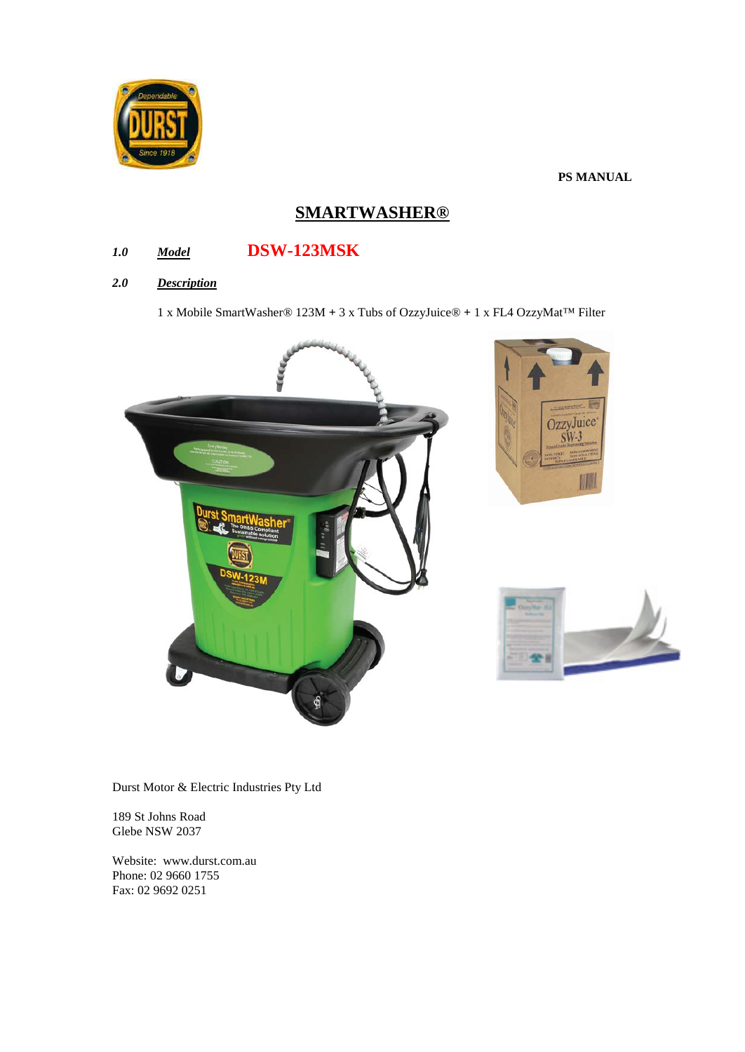

# **PS MANUAL**

# **SMARTWASHER®**

# *1.0 Model* **DSW-123MSK**

## *2.0 Description*

1 x Mobile SmartWasher® 123M **+** 3 x Tubs of OzzyJuice® **+** 1 x FL4 OzzyMat™ Filter



Durst Motor & Electric Industries Pty Ltd

189 St Johns Road Glebe NSW 2037

Website: www.durst.com.au Phone: 02 9660 1755 Fax: 02 9692 0251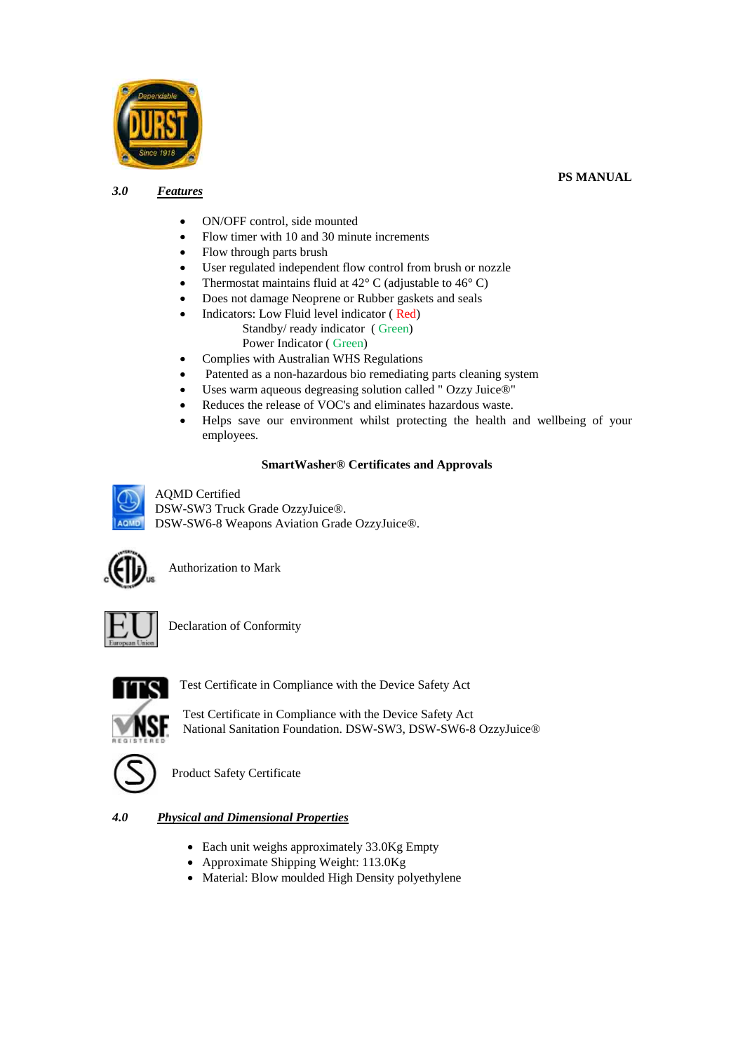

### *3.0 Features*

### **PS MANUAL**

- ON/OFF control, side mounted
- Flow timer with 10 and 30 minute increments
- Flow through parts brush
- User regulated independent flow control from brush or nozzle
- Thermostat maintains fluid at  $42^{\circ}$  C (adjustable to  $46^{\circ}$  C)
- Does not damage Neoprene or Rubber gaskets and seals
- Indicators: Low Fluid level indicator ( Red) Standby/ ready indicator ( Green) Power Indicator ( Green)
- Complies with Australian WHS Regulations
- Patented as a non-hazardous bio remediating parts cleaning system
- Uses warm aqueous degreasing solution called " Ozzy Juice®"
- Reduces the release of VOC's and eliminates hazardous waste.
- Helps save our environment whilst protecting the health and wellbeing of your employees.

#### **SmartWasher® Certificates and Approvals**

AQMD Certified DSW-SW3 Truck Grade OzzyJuice®. DSW-SW6-8 Weapons Aviation Grade OzzyJuice®.



Authorization to Mark



Declaration of Conformity



Test Certificate in Compliance with the Device Safety Act

Test Certificate in Compliance with the Device Safety Act National Sanitation Foundation. DSW-SW3, DSW-SW6-8 OzzyJuice®



Product Safety Certificate

## *4.0 Physical and Dimensional Properties*

- Each unit weighs approximately 33.0Kg Empty
- Approximate Shipping Weight: 113.0Kg
- Material: Blow moulded High Density polyethylene